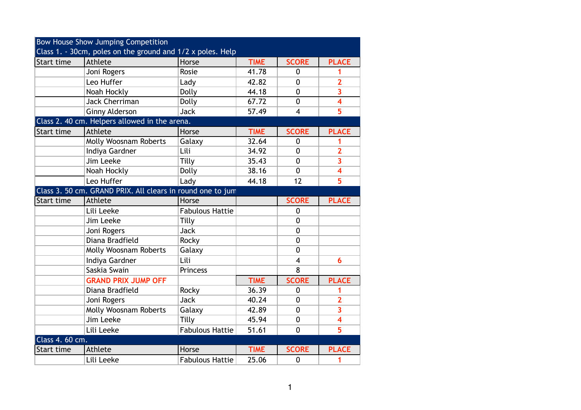|                                                            | Bow House Show Jumping Competition |                        |             |                         |                         |  |  |  |
|------------------------------------------------------------|------------------------------------|------------------------|-------------|-------------------------|-------------------------|--|--|--|
| Class 1. - 30cm, poles on the ground and 1/2 x poles. Help |                                    |                        |             |                         |                         |  |  |  |
| Start time                                                 | Athlete                            | Horse                  | <b>TIME</b> | <b>SCORE</b>            | <b>PLACE</b>            |  |  |  |
|                                                            | Joni Rogers                        | Rosie                  | 41.78       | $\mathbf{0}$            | 1                       |  |  |  |
|                                                            | Leo Huffer                         | Lady                   | 42.82       | $\mathbf 0$             | $\overline{2}$          |  |  |  |
|                                                            | Noah Hockly                        | Dolly                  | 44.18       | $\mathbf 0$             | 3                       |  |  |  |
|                                                            | <b>Jack Cherriman</b>              | Dolly                  | 67.72       | $\mathbf{0}$            | $\overline{\mathbf{4}}$ |  |  |  |
|                                                            | <b>Ginny Alderson</b>              | <b>Jack</b>            | 57.49       | $\overline{4}$          | 5                       |  |  |  |
| Class 2. 40 cm. Helpers allowed in the arena.              |                                    |                        |             |                         |                         |  |  |  |
| Start time                                                 | Athlete                            | Horse                  | <b>TIME</b> | <b>SCORE</b>            | <b>PLACE</b>            |  |  |  |
|                                                            | <b>Molly Woosnam Roberts</b>       | Galaxy                 | 32.64       | $\mathbf{0}$            | 1                       |  |  |  |
|                                                            | Indiya Gardner                     | Lili                   | 34.92       | $\mathbf{0}$            | $\overline{2}$          |  |  |  |
|                                                            | Jim Leeke                          | Tilly                  | 35.43       | $\mathbf 0$             | $\overline{\mathbf{3}}$ |  |  |  |
|                                                            | Noah Hockly                        | Dolly                  | 38.16       | $\mathbf{0}$            | $\overline{\mathbf{4}}$ |  |  |  |
|                                                            | Leo Huffer                         | Lady                   | 44.18       | 12                      | 5                       |  |  |  |
| Class 3. 50 cm. GRAND PRIX. All clears in round one to jum |                                    |                        |             |                         |                         |  |  |  |
| Start time                                                 | Athlete                            | Horse                  |             | <b>SCORE</b>            | <b>PLACE</b>            |  |  |  |
|                                                            | Lili Leeke                         | <b>Fabulous Hattie</b> |             | $\mathbf 0$             |                         |  |  |  |
|                                                            | Jim Leeke                          | Tilly                  |             | $\mathbf 0$             |                         |  |  |  |
|                                                            | Joni Rogers                        | <b>Jack</b>            |             | $\mathbf 0$             |                         |  |  |  |
|                                                            | Diana Bradfield                    | Rocky                  |             | $\mathbf 0$             |                         |  |  |  |
|                                                            | Molly Woosnam Roberts              | Galaxy                 |             | $\mathbf{0}$            |                         |  |  |  |
|                                                            | Indiya Gardner                     | Lili                   |             | $\overline{\mathbf{4}}$ | 6                       |  |  |  |
|                                                            | Saskia Swain                       | Princess               |             | 8                       |                         |  |  |  |
|                                                            | <b>GRAND PRIX JUMP OFF</b>         |                        | <b>TIME</b> | <b>SCORE</b>            | <b>PLACE</b>            |  |  |  |
|                                                            | Diana Bradfield                    | Rocky                  | 36.39       | $\mathbf 0$             | 1                       |  |  |  |
|                                                            | Joni Rogers                        | <b>Jack</b>            | 40.24       | $\mathbf 0$             | $\overline{2}$          |  |  |  |
|                                                            | Molly Woosnam Roberts              | Galaxy                 | 42.89       | $\mathbf 0$             | $\overline{\mathbf{3}}$ |  |  |  |
|                                                            | Jim Leeke                          | Tilly                  | 45.94       | $\mathbf{0}$            | $\overline{\mathbf{4}}$ |  |  |  |
|                                                            | Lili Leeke                         | <b>Fabulous Hattie</b> | 51.61       | $\mathbf 0$             | 5                       |  |  |  |
| Class 4. 60 cm.                                            |                                    |                        |             |                         |                         |  |  |  |
| Start time                                                 | Athlete                            | Horse                  | <b>TIME</b> | <b>SCORE</b>            | <b>PLACE</b>            |  |  |  |
|                                                            | Lili Leeke                         | <b>Fabulous Hattie</b> | 25.06       | $\mathbf 0$             | 1                       |  |  |  |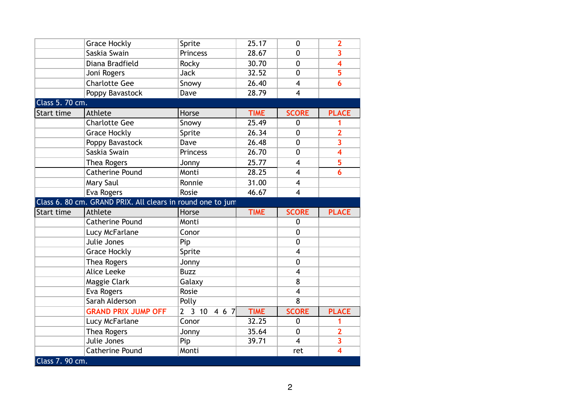|                 | <b>Grace Hockly</b>                                        | Sprite          | 25.17       | $\mathbf{0}$            | $\overline{2}$          |
|-----------------|------------------------------------------------------------|-----------------|-------------|-------------------------|-------------------------|
|                 | Saskia Swain                                               | <b>Princess</b> | 28.67       | $\mathbf{0}$            | 3                       |
|                 | Diana Bradfield                                            | Rocky           | 30.70       | $\mathbf 0$             | 4                       |
|                 | Joni Rogers                                                | <b>Jack</b>     | 32.52       | $\mathbf 0$             | 5                       |
|                 | <b>Charlotte Gee</b>                                       | Snowy           | 26.40       | $\overline{4}$          | 6                       |
|                 | Poppy Bavastock                                            | Dave            | 28.79       | $\overline{\mathbf{4}}$ |                         |
| Class 5. 70 cm. |                                                            |                 |             |                         |                         |
| Start time      | Athlete                                                    | Horse           | <b>TIME</b> | <b>SCORE</b>            | <b>PLACE</b>            |
|                 | Charlotte Gee                                              | Snowy           | 25.49       | $\mathbf{0}$            | 1                       |
|                 | <b>Grace Hockly</b>                                        | Sprite          | 26.34       | $\mathbf{0}$            | $\overline{\mathbf{2}}$ |
|                 | Poppy Bavastock                                            | Dave            | 26.48       | $\mathbf 0$             | 3                       |
|                 | Saskia Swain                                               | <b>Princess</b> | 26.70       | $\mathbf 0$             | $\overline{\mathbf{4}}$ |
|                 | Thea Rogers                                                | Jonny           | 25.77       | $\overline{4}$          | 5                       |
|                 | <b>Catherine Pound</b>                                     | Monti           | 28.25       | $\overline{\mathbf{4}}$ | 6                       |
|                 |                                                            |                 |             |                         |                         |
|                 | Mary Saul                                                  | Ronnie          | 31.00       | $\overline{4}$          |                         |
|                 | Eva Rogers                                                 | Rosie           | 46.67       | $\overline{4}$          |                         |
|                 | Class 6. 80 cm. GRAND PRIX. All clears in round one to jum |                 |             |                         |                         |
| Start time      | Athlete                                                    | Horse           | <b>TIME</b> | <b>SCORE</b>            | <b>PLACE</b>            |
|                 | <b>Catherine Pound</b>                                     | Monti           |             | $\mathbf{0}$            |                         |
|                 | Lucy McFarlane                                             | Conor           |             | 0                       |                         |
|                 | Julie Jones                                                | Pip             |             | $\mathbf{0}$            |                         |
|                 | <b>Grace Hockly</b>                                        | Sprite          |             | $\overline{\mathbf{4}}$ |                         |
|                 | Thea Rogers                                                | Jonny           |             | $\mathbf{0}$            |                         |
|                 | <b>Alice Leeke</b>                                         | <b>Buzz</b>     |             | $\overline{4}$          |                         |
|                 | Maggie Clark                                               | Galaxy          |             | 8                       |                         |
|                 | Eva Rogers                                                 | Rosie           |             | $\overline{\mathbf{4}}$ |                         |
|                 | Sarah Alderson                                             | Polly           |             | $\overline{8}$          |                         |
|                 | <b>GRAND PRIX JUMP OFF</b>                                 | 2 3 10 4 6 7    | <b>TIME</b> | <b>SCORE</b>            | <b>PLACE</b>            |
|                 | Lucy McFarlane                                             | Conor           | 32.25       | $\mathbf{0}$            | 1                       |
|                 | Thea Rogers                                                | Jonny           | 35.64       | $\mathbf 0$             | $\overline{2}$          |
|                 | Julie Jones                                                | Pip             | 39.71       | $\overline{\mathbf{4}}$ | 3                       |